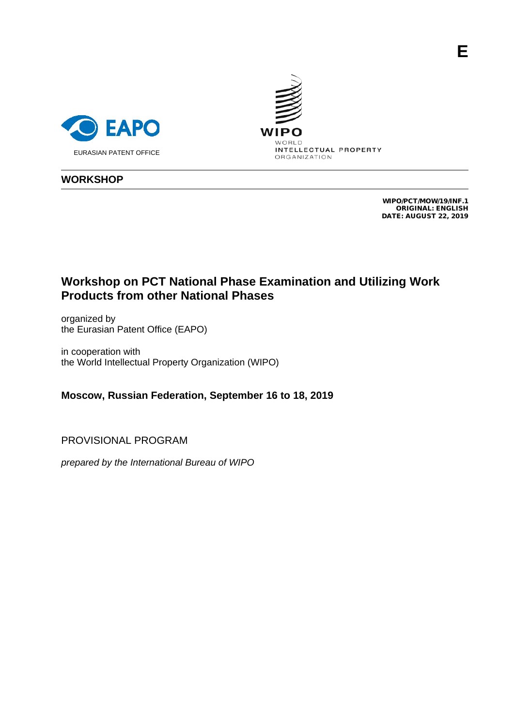





## **WORKSHOP**

WIPO/PCT/MOW/19/INF.1 ORIGINAL: ENGLISH DATE: AUGUST 22, 2019

## **Workshop on PCT National Phase Examination and Utilizing Work Products from other National Phases**

organized by the Eurasian Patent Office (EAPO)

in cooperation with the World Intellectual Property Organization (WIPO)

**Moscow, Russian Federation, September 16 to 18, 2019**

PROVISIONAL PROGRAM

*prepared by the International Bureau of WIPO*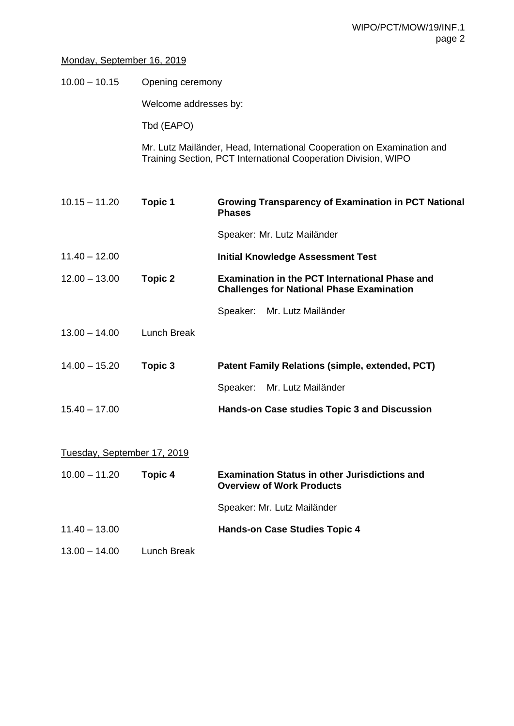## Monday, September 16, 2019

10.00 – 10.15 Opening ceremony

Welcome addresses by:

Tbd (EAPO)

Mr. Lutz Mailänder, Head, International Cooperation on Examination and Training Section, PCT International Cooperation Division, WIPO

| $10.15 - 11.20$             | <b>Topic 1</b>     | <b>Growing Transparency of Examination in PCT National</b><br><b>Phases</b>                               |  |  |
|-----------------------------|--------------------|-----------------------------------------------------------------------------------------------------------|--|--|
|                             |                    | Speaker: Mr. Lutz Mailänder                                                                               |  |  |
| $11.40 - 12.00$             |                    | <b>Initial Knowledge Assessment Test</b>                                                                  |  |  |
| $12.00 - 13.00$             | <b>Topic 2</b>     | <b>Examination in the PCT International Phase and</b><br><b>Challenges for National Phase Examination</b> |  |  |
|                             |                    | Mr. Lutz Mailänder<br>Speaker:                                                                            |  |  |
| $13.00 - 14.00$             | <b>Lunch Break</b> |                                                                                                           |  |  |
| $14.00 - 15.20$             | Topic 3            | Patent Family Relations (simple, extended, PCT)                                                           |  |  |
|                             |                    | Speaker:<br>Mr. Lutz Mailänder                                                                            |  |  |
| $15.40 - 17.00$             |                    | Hands-on Case studies Topic 3 and Discussion                                                              |  |  |
| Tuesday, September 17, 2019 |                    |                                                                                                           |  |  |
| $10.00 - 11.20$             | <b>Topic 4</b>     | <b>Examination Status in other Jurisdictions and</b><br><b>Overview of Work Products</b>                  |  |  |
|                             |                    | Speaker: Mr. Lutz Mailänder                                                                               |  |  |
| $11.40 - 13.00$             |                    | <b>Hands-on Case Studies Topic 4</b>                                                                      |  |  |
| $13.00 - 14.00$             | <b>Lunch Break</b> |                                                                                                           |  |  |